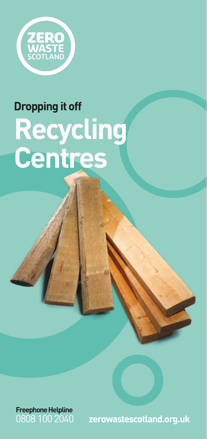

# **Dropping it off Recycling Centres**



0808 100 2040 **zerowastescotland.org.uk**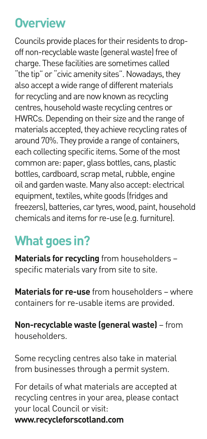# **Overview**

Councils provide places for their residents to dropoff non-recyclable waste (general waste) free of charge. These facilities are sometimes called "the tip" or "civic amenity sites". Nowadays, they also accept a wide range of different materials for recycling and are now known as recycling centres, household waste recycling centres or HWRCs. Depending on their size and the range of materials accepted, they achieve recycling rates of around 70%. They provide a range of containers, each collecting specific items. Some of the most common are: paper, glass bottles, cans, plastic bottles, cardboard, scrap metal, rubble, engine oil and garden waste. Many also accept: electrical equipment, textiles, white goods (fridges and freezers), batteries, car tyres, wood, paint, household chemicals and items for re-use (e.g. furniture).

# **What goes in?**

**Materials for recycling** from householders – specific materials vary from site to site.

**Materials for re-use** from householders – where containers for re-usable items are provided.

**Non-recyclable waste (general waste)** – from householders.

Some recycling centres also take in material from businesses through a permit system.

For details of what materials are accepted at recycling centres in your area, please contact your local Council or visit: **www.recycleforscotland.com**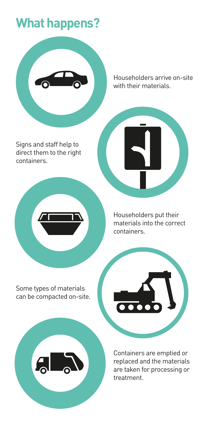# **What happens?**



Householders arrive on-site with their materials.

Signs and staff help to direct them to the right containers.

> Householders put their materials into the correct containers.

Some types of materials can be compacted on-site.



Containers are emptied or replaced and the materials are taken for processing or treatment.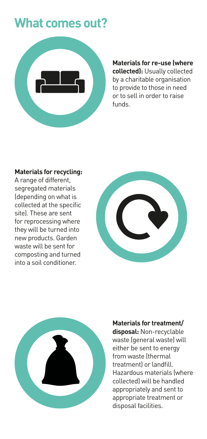# **What comes out?**



**Materials for re-use (where collected):** Usually collected by a charitable organisation to provide to those in need or to sell in order to raise funds.

#### **Materials for recycling:**

A range of different, segregated materials (depending on what is collected at the specific site). These are sent for reprocessing where they will be turned into new products. Garden waste will be sent for composting and turned into a soil conditioner.





#### **Materials for treatment/**

**disposal:** Non-recyclable waste (general waste) will either be sent to energy from waste (thermal treatment) or landfill. Hazardous materials (where collected) will be handled appropriately and sent to appropriate treatment or disposal facilities.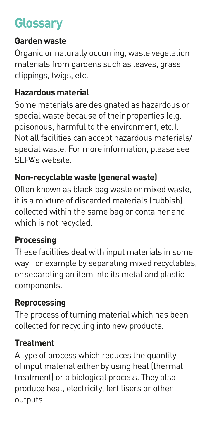# **Glossary**

### **Garden waste**

Organic or naturally occurring, waste vegetation materials from gardens such as leaves, grass clippings, twigs, etc.

# **Hazardous material**

Some materials are designated as hazardous or special waste because of their properties (e.g. poisonous, harmful to the environment, etc.). Not all facilities can accept hazardous materials/ special waste. For more information, please see SEPA's website.

# **Non-recyclable waste (general waste)**

Often known as black bag waste or mixed waste, it is a mixture of discarded materials (rubbish) collected within the same bag or container and which is not recycled.

# **Processing**

These facilities deal with input materials in some way, for example by separating mixed recyclables, or separating an item into its metal and plastic components.

# **Reprocessing**

The process of turning material which has been collected for recycling into new products.

### **Treatment**

A type of process which reduces the quantity of input material either by using heat (thermal treatment) or a biological process. They also produce heat, electricity, fertilisers or other outputs.